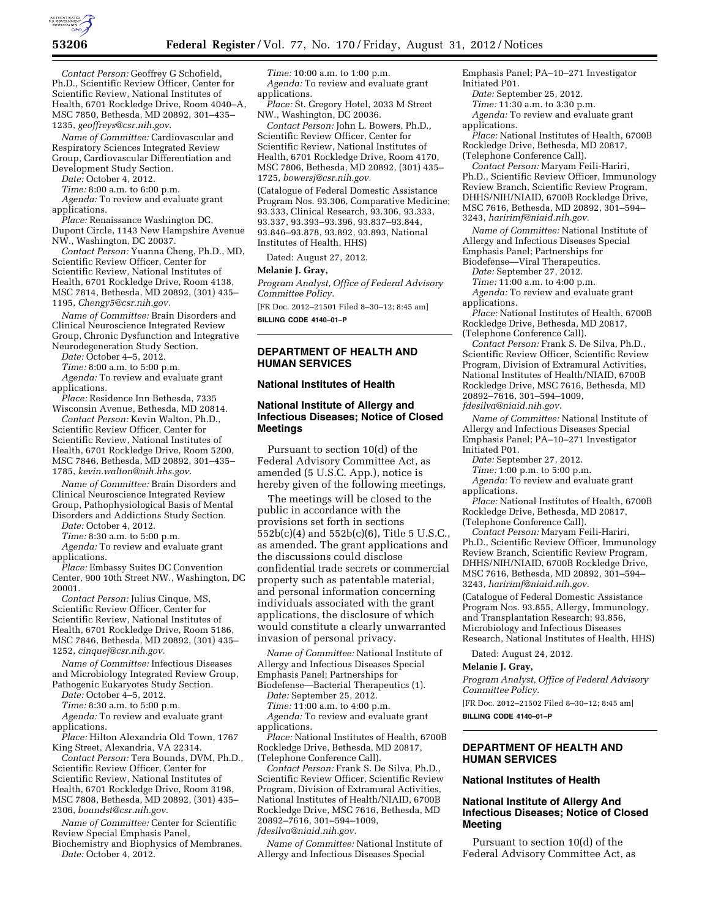

*Contact Person:* Geoffrey G Schofield, Ph.D., Scientific Review Officer, Center for Scientific Review, National Institutes of Health, 6701 Rockledge Drive, Room 4040–A, MSC 7850, Bethesda, MD 20892, 301–435– 1235, *[geoffreys@csr.nih.gov.](mailto:geoffreys@csr.nih.gov)* 

*Name of Committee:* Cardiovascular and Respiratory Sciences Integrated Review Group, Cardiovascular Differentiation and Development Study Section.

*Date:* October 4, 2012.

*Time:* 8:00 a.m. to 6:00 p.m.

*Agenda:* To review and evaluate grant applications.

*Place:* Renaissance Washington DC, Dupont Circle, 1143 New Hampshire Avenue NW., Washington, DC 20037.

*Contact Person:* Yuanna Cheng, Ph.D., MD, Scientific Review Officer, Center for Scientific Review, National Institutes of Health, 6701 Rockledge Drive, Room 4138, MSC 7814, Bethesda, MD 20892, (301) 435– 1195, *[Chengy5@csr.nih.gov.](mailto:Chengy5@csr.nih.gov)* 

*Name of Committee:* Brain Disorders and Clinical Neuroscience Integrated Review Group, Chronic Dysfunction and Integrative Neurodegeneration Study Section.

*Date:* October 4–5, 2012.

*Time:* 8:00 a.m. to 5:00 p.m. Agenda: To review and evaluate grant applications.

*Place:* Residence Inn Bethesda, 7335 Wisconsin Avenue, Bethesda, MD 20814.

*Contact Person:* Kevin Walton, Ph.D., Scientific Review Officer, Center for Scientific Review, National Institutes of Health, 6701 Rockledge Drive, Room 5200, MSC 7846, Bethesda, MD 20892, 301–435– 1785, *[kevin.walton@nih.hhs.gov.](mailto:kevin.walton@nih.hhs.gov)* 

*Name of Committee:* Brain Disorders and Clinical Neuroscience Integrated Review Group, Pathophysiological Basis of Mental Disorders and Addictions Study Section.

*Date:* October 4, 2012.

*Time:* 8:30 a.m. to 5:00 p.m.

*Agenda:* To review and evaluate grant applications.

*Place:* Embassy Suites DC Convention Center, 900 10th Street NW., Washington, DC 20001.

*Contact Person:* Julius Cinque, MS, Scientific Review Officer, Center for Scientific Review, National Institutes of Health, 6701 Rockledge Drive, Room 5186, MSC 7846, Bethesda, MD 20892, (301) 435– 1252, *[cinquej@csr.nih.gov.](mailto:cinquej@csr.nih.gov)* 

*Name of Committee:* Infectious Diseases and Microbiology Integrated Review Group, Pathogenic Eukaryotes Study Section.

*Date:* October 4–5, 2012.

*Time:* 8:30 a.m. to 5:00 p.m.

*Agenda:* To review and evaluate grant applications.

*Place:* Hilton Alexandria Old Town, 1767 King Street, Alexandria, VA 22314.

*Contact Person:* Tera Bounds, DVM, Ph.D., Scientific Review Officer, Center for Scientific Review, National Institutes of Health, 6701 Rockledge Drive, Room 3198, MSC 7808, Bethesda, MD 20892, (301) 435– 2306, *[boundst@csr.nih.gov.](mailto:boundst@csr.nih.gov)* 

*Name of Committee:* Center for Scientific Review Special Emphasis Panel,

Biochemistry and Biophysics of Membranes. *Date:* October 4, 2012.

*Time:* 10:00 a.m. to 1:00 p.m. *Agenda:* To review and evaluate grant applications.

*Place:* St. Gregory Hotel, 2033 M Street NW., Washington, DC 20036.

*Contact Person:* John L. Bowers, Ph.D., Scientific Review Officer, Center for Scientific Review, National Institutes of Health, 6701 Rockledge Drive, Room 4170, MSC 7806, Bethesda, MD 20892, (301) 435– 1725, *[bowersj@csr.nih.gov.](mailto:bowersj@csr.nih.gov)* 

(Catalogue of Federal Domestic Assistance Program Nos. 93.306, Comparative Medicine; 93.333, Clinical Research, 93.306, 93.333, 93.337, 93.393–93.396, 93.837–93.844, 93.846–93.878, 93.892, 93.893, National Institutes of Health, HHS)

Dated: August 27, 2012.

#### **Melanie J. Gray,**

*Program Analyst, Office of Federal Advisory Committee Policy.* 

[FR Doc. 2012–21501 Filed 8–30–12; 8:45 am] **BILLING CODE 4140–01–P** 

# **DEPARTMENT OF HEALTH AND HUMAN SERVICES**

## **National Institutes of Health**

## **National Institute of Allergy and Infectious Diseases; Notice of Closed Meetings**

Pursuant to section 10(d) of the Federal Advisory Committee Act, as amended (5 U.S.C. App.), notice is hereby given of the following meetings.

The meetings will be closed to the public in accordance with the provisions set forth in sections 552b(c)(4) and 552b(c)(6), Title 5 U.S.C., as amended. The grant applications and the discussions could disclose confidential trade secrets or commercial property such as patentable material, and personal information concerning individuals associated with the grant applications, the disclosure of which would constitute a clearly unwarranted invasion of personal privacy.

*Name of Committee:* National Institute of Allergy and Infectious Diseases Special Emphasis Panel; Partnerships for Biodefense—Bacterial Therapeutics (1).

*Date:* September 25, 2012.

*Time:* 11:00 a.m. to 4:00 p.m.

*Agenda:* To review and evaluate grant applications.

*Place:* National Institutes of Health, 6700B Rockledge Drive, Bethesda, MD 20817, (Telephone Conference Call).

*Contact Person:* Frank S. De Silva, Ph.D., Scientific Review Officer, Scientific Review Program, Division of Extramural Activities, National Institutes of Health/NIAID, 6700B Rockledge Drive, MSC 7616, Bethesda, MD 20892–7616, 301–594–1009, *[fdesilva@niaid.nih.gov.](mailto:fdesilva@niaid.nih.gov)* 

*Name of Committee:* National Institute of Allergy and Infectious Diseases Special

Emphasis Panel; PA–10–271 Investigator Initiated P01.

*Date:* September 25, 2012.

*Time:* 11:30 a.m. to 3:30 p.m. *Agenda:* To review and evaluate grant

applications.

*Place:* National Institutes of Health, 6700B Rockledge Drive, Bethesda, MD 20817, (Telephone Conference Call).

*Contact Person:* Maryam Feili-Hariri, Ph.D., Scientific Review Officer, Immunology Review Branch, Scientific Review Program, DHHS/NIH/NIAID, 6700B Rockledge Drive, MSC 7616, Bethesda, MD 20892, 301–594– 3243, *[haririmf@niaid.nih.gov.](mailto:haririmf@niaid.nih.gov)* 

*Name of Committee:* National Institute of Allergy and Infectious Diseases Special Emphasis Panel; Partnerships for Biodefense—Viral Therapeutics.

*Date:* September 27, 2012.

*Time:* 11:00 a.m. to 4:00 p.m.

*Agenda:* To review and evaluate grant applications.

*Place:* National Institutes of Health, 6700B Rockledge Drive, Bethesda, MD 20817, (Telephone Conference Call).

*Contact Person:* Frank S. De Silva, Ph.D., Scientific Review Officer, Scientific Review Program, Division of Extramural Activities, National Institutes of Health/NIAID, 6700B Rockledge Drive, MSC 7616, Bethesda, MD 20892–7616, 301–594–1009, *[fdesilva@niaid.nih.gov.](mailto:fdesilva@niaid.nih.gov)* 

*Name of Committee:* National Institute of Allergy and Infectious Diseases Special Emphasis Panel; PA–10–271 Investigator Initiated P01.

*Date:* September 27, 2012.

*Time:* 1:00 p.m. to 5:00 p.m.

*Agenda:* To review and evaluate grant applications.

*Place:* National Institutes of Health, 6700B Rockledge Drive, Bethesda, MD 20817, (Telephone Conference Call).

*Contact Person:* Maryam Feili-Hariri, Ph.D., Scientific Review Officer, Immunology Review Branch, Scientific Review Program, DHHS/NIH/NIAID, 6700B Rockledge Drive, MSC 7616, Bethesda, MD 20892, 301–594– 3243, *[haririmf@niaid.nih.gov.](mailto:haririmf@niaid.nih.gov)* 

(Catalogue of Federal Domestic Assistance Program Nos. 93.855, Allergy, Immunology, and Transplantation Research; 93.856, Microbiology and Infectious Diseases Research, National Institutes of Health, HHS)

Dated: August 24, 2012.

#### **Melanie J. Gray,**

*Program Analyst, Office of Federal Advisory Committee Policy.* 

[FR Doc. 2012–21502 Filed 8–30–12; 8:45 am]

**BILLING CODE 4140–01–P** 

## **DEPARTMENT OF HEALTH AND HUMAN SERVICES**

## **National Institutes of Health**

# **National Institute of Allergy And Infectious Diseases; Notice of Closed Meeting**

Pursuant to section 10(d) of the Federal Advisory Committee Act, as